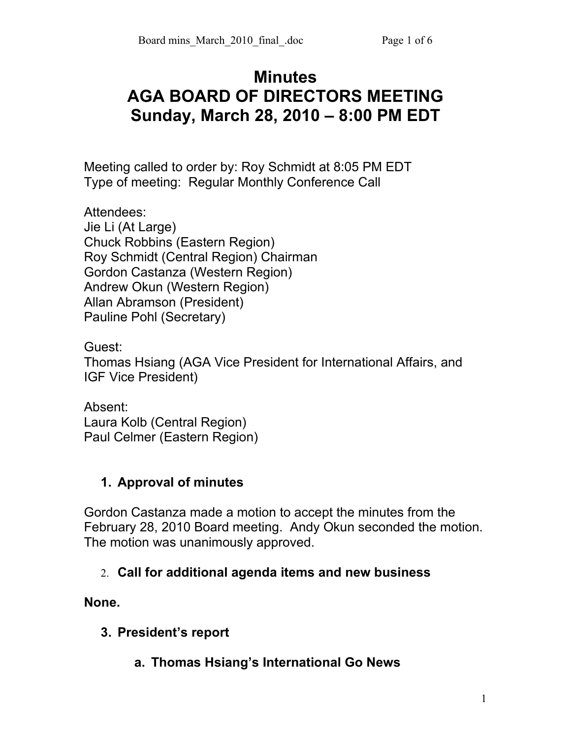# **Minutes AGA BOARD OF DIRECTORS MEETING Sunday, March 28, 2010 – 8:00 PM EDT**

Meeting called to order by: Roy Schmidt at 8:05 PM EDT Type of meeting: Regular Monthly Conference Call

Attendees: Jie Li (At Large) Chuck Robbins (Eastern Region) Roy Schmidt (Central Region) Chairman Gordon Castanza (Western Region) Andrew Okun (Western Region) Allan Abramson (President) Pauline Pohl (Secretary)

Guest: Thomas Hsiang (AGA Vice President for International Affairs, and IGF Vice President)

Absent: Laura Kolb (Central Region) Paul Celmer (Eastern Region)

#### **1. Approval of minutes**

Gordon Castanza made a motion to accept the minutes from the February 28, 2010 Board meeting. Andy Okun seconded the motion. The motion was unanimously approved.

#### 2. **Call for additional agenda items and new business**

**None.**

- **3. President's report**
	- **a. Thomas Hsiang's International Go News**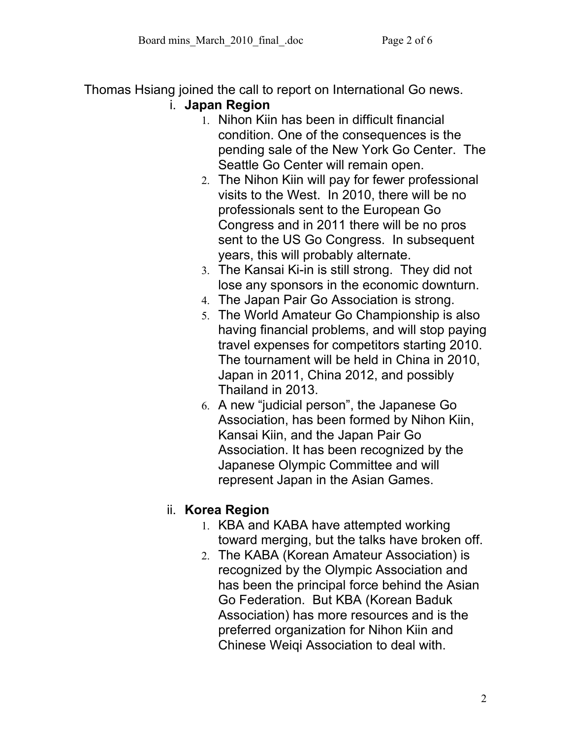Thomas Hsiang joined the call to report on International Go news. i. **Japan Region** 

- 1. Nihon Kiin has been in difficult financial condition. One of the consequences is the pending sale of the New York Go Center. The Seattle Go Center will remain open.
- 2. The Nihon Kiin will pay for fewer professional visits to the West. In 2010, there will be no professionals sent to the European Go Congress and in 2011 there will be no pros sent to the US Go Congress. In subsequent years, this will probably alternate.
- 3. The Kansai Ki-in is still strong. They did not lose any sponsors in the economic downturn.
- 4. The Japan Pair Go Association is strong.
- 5. The World Amateur Go Championship is also having financial problems, and will stop paying travel expenses for competitors starting 2010. The tournament will be held in China in 2010, Japan in 2011, China 2012, and possibly Thailand in 2013.
- 6. A new "judicial person", the Japanese Go Association, has been formed by Nihon Kiin, Kansai Kiin, and the Japan Pair Go Association. It has been recognized by the Japanese Olympic Committee and will represent Japan in the Asian Games.

## ii. **Korea Region**

- 1. KBA and KABA have attempted working toward merging, but the talks have broken off.
- 2. The KABA (Korean Amateur Association) is recognized by the Olympic Association and has been the principal force behind the Asian Go Federation. But KBA (Korean Baduk Association) has more resources and is the preferred organization for Nihon Kiin and Chinese Weiqi Association to deal with.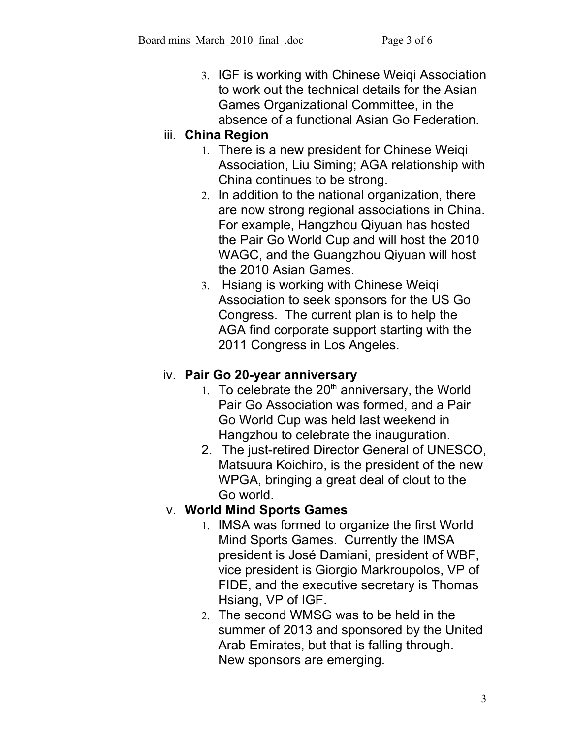3. IGF is working with Chinese Weiqi Association to work out the technical details for the Asian Games Organizational Committee, in the absence of a functional Asian Go Federation.

## iii. **China Region**

- 1. There is a new president for Chinese Weiqi Association, Liu Siming; AGA relationship with China continues to be strong.
- 2. In addition to the national organization, there are now strong regional associations in China. For example, Hangzhou Qiyuan has hosted the Pair Go World Cup and will host the 2010 WAGC, and the Guangzhou Qiyuan will host the 2010 Asian Games.
- 3. Hsiang is working with Chinese Weiqi Association to seek sponsors for the US Go Congress. The current plan is to help the AGA find corporate support starting with the 2011 Congress in Los Angeles.

## iv. **Pair Go 20-year anniversary**

- 1. To celebrate the  $20<sup>th</sup>$  anniversary, the World Pair Go Association was formed, and a Pair Go World Cup was held last weekend in Hangzhou to celebrate the inauguration.
- 2. The just-retired Director General of UNESCO, Matsuura Koichiro, is the president of the new WPGA, bringing a great deal of clout to the Go world.

## v. **World Mind Sports Games**

- 1. IMSA was formed to organize the first World Mind Sports Games. Currently the IMSA president is José Damiani, president of WBF, vice president is Giorgio Markroupolos, VP of FIDE, and the executive secretary is Thomas Hsiang, VP of IGF.
- 2. The second WMSG was to be held in the summer of 2013 and sponsored by the United Arab Emirates, but that is falling through. New sponsors are emerging.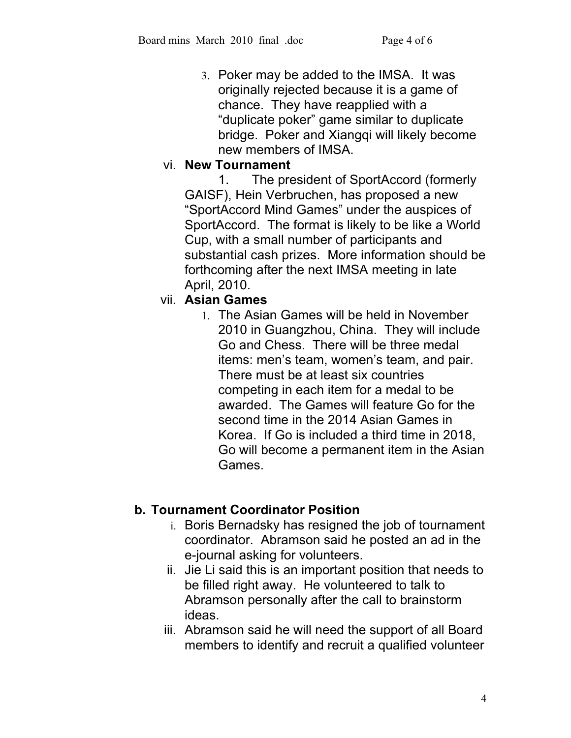3. Poker may be added to the IMSA. It was originally rejected because it is a game of chance. They have reapplied with a "duplicate poker" game similar to duplicate bridge. Poker and Xiangqi will likely become new members of IMSA.

## vi. **New Tournament**

1. The president of SportAccord (formerly GAISF), Hein Verbruchen, has proposed a new "SportAccord Mind Games" under the auspices of SportAccord. The format is likely to be like a World Cup, with a small number of participants and substantial cash prizes. More information should be forthcoming after the next IMSA meeting in late April, 2010.

## vii. **Asian Games**

1. The Asian Games will be held in November 2010 in Guangzhou, China. They will include Go and Chess. There will be three medal items: men's team, women's team, and pair. There must be at least six countries competing in each item for a medal to be awarded. The Games will feature Go for the second time in the 2014 Asian Games in Korea. If Go is included a third time in 2018, Go will become a permanent item in the Asian Games.

## **b. Tournament Coordinator Position**

- i. Boris Bernadsky has resigned the job of tournament coordinator. Abramson said he posted an ad in the e-journal asking for volunteers.
- ii. Jie Li said this is an important position that needs to be filled right away. He volunteered to talk to Abramson personally after the call to brainstorm ideas.
- iii. Abramson said he will need the support of all Board members to identify and recruit a qualified volunteer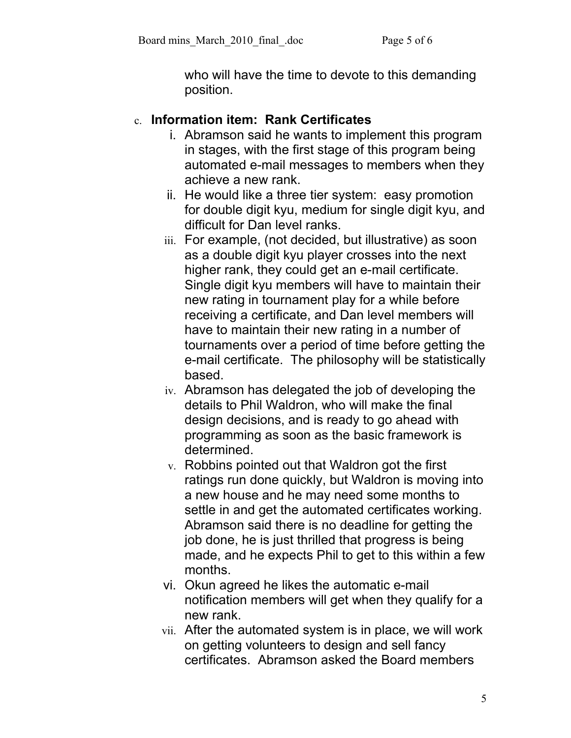who will have the time to devote to this demanding position.

### c. **Information item: Rank Certificates**

- i. Abramson said he wants to implement this program in stages, with the first stage of this program being automated e-mail messages to members when they achieve a new rank.
- ii. He would like a three tier system: easy promotion for double digit kyu, medium for single digit kyu, and difficult for Dan level ranks.
- iii. For example, (not decided, but illustrative) as soon as a double digit kyu player crosses into the next higher rank, they could get an e-mail certificate. Single digit kyu members will have to maintain their new rating in tournament play for a while before receiving a certificate, and Dan level members will have to maintain their new rating in a number of tournaments over a period of time before getting the e-mail certificate. The philosophy will be statistically based.
- iv. Abramson has delegated the job of developing the details to Phil Waldron, who will make the final design decisions, and is ready to go ahead with programming as soon as the basic framework is determined.
- v. Robbins pointed out that Waldron got the first ratings run done quickly, but Waldron is moving into a new house and he may need some months to settle in and get the automated certificates working. Abramson said there is no deadline for getting the job done, he is just thrilled that progress is being made, and he expects Phil to get to this within a few months.
- vi. Okun agreed he likes the automatic e-mail notification members will get when they qualify for a new rank.
- vii. After the automated system is in place, we will work on getting volunteers to design and sell fancy certificates. Abramson asked the Board members